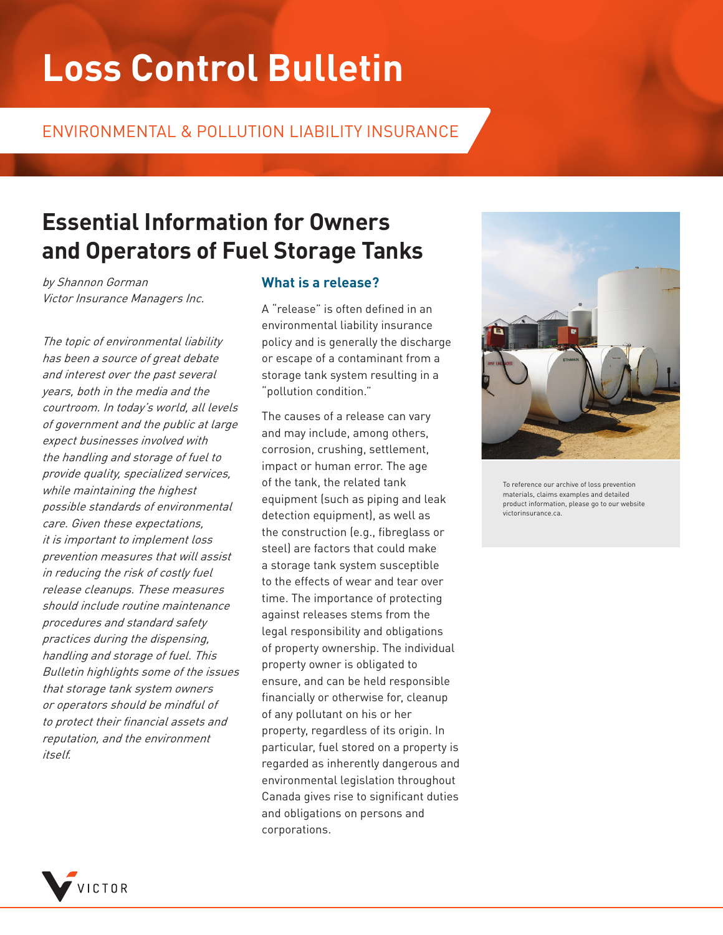# **Loss Control Bulletin**

### ENVIRONMENTAL & POLLUTION LIABILITY INSURANCE

# **Essential Information for Owners and Operators of Fuel Storage Tanks**

by Shannon Gorman Victor Insurance Managers Inc.

The topic of environmental liability has been a source of great debate and interest over the past several years, both in the media and the courtroom. In today's world, all levels of government and the public at large expect businesses involved with the handling and storage of fuel to provide quality, specialized services, while maintaining the highest possible standards of environmental care. Given these expectations, it is important to implement loss prevention measures that will assist in reducing the risk of costly fuel release cleanups. These measures should include routine maintenance procedures and standard safety practices during the dispensing, handling and storage of fuel. This Bulletin highlights some of the issues that storage tank system owners or operators should be mindful of to protect their financial assets and reputation, and the environment itself.

#### **What is a release?**

A "release" is often defined in an environmental liability insurance policy and is generally the discharge or escape of a contaminant from a storage tank system resulting in a "pollution condition."

The causes of a release can vary and may include, among others, corrosion, crushing, settlement, impact or human error. The age of the tank, the related tank equipment (such as piping and leak detection equipment), as well as the construction (e.g., fibreglass or steel) are factors that could make a storage tank system susceptible to the effects of wear and tear over time. The importance of protecting against releases stems from the legal responsibility and obligations of property ownership. The individual property owner is obligated to ensure, and can be held responsible financially or otherwise for, cleanup of any pollutant on his or her property, regardless of its origin. In particular, fuel stored on a property is regarded as inherently dangerous and environmental legislation throughout Canada gives rise to significant duties and obligations on persons and corporations.



To reference our archive of loss prevention materials, claims examples and detailed product information, please go to our website victorinsurance.ca.

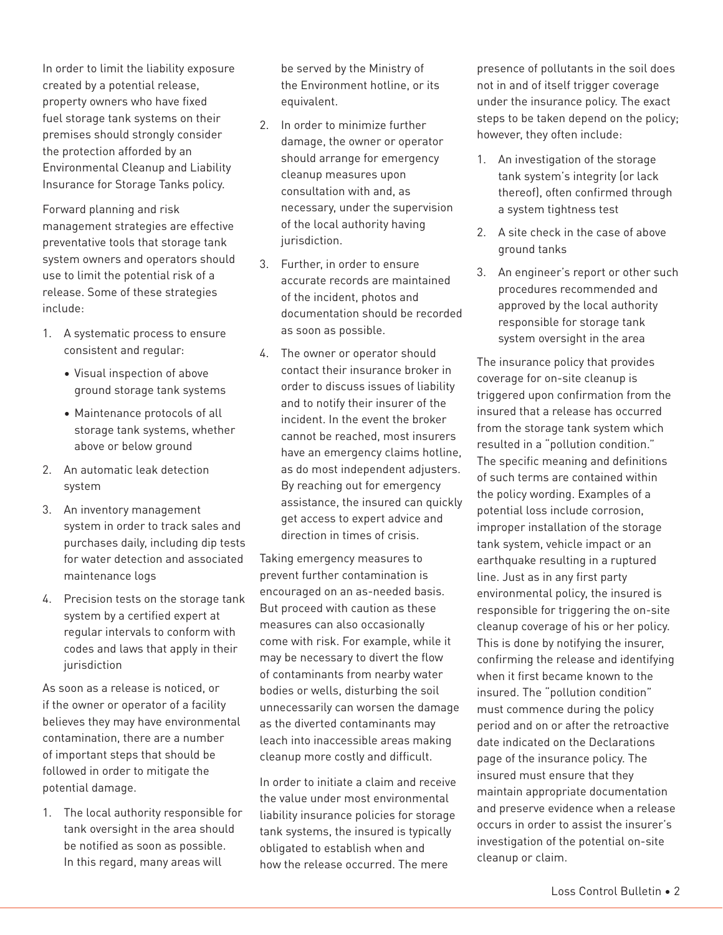In order to limit the liability exposure created by a potential release, property owners who have fixed fuel storage tank systems on their premises should strongly consider the protection afforded by an Environmental Cleanup and Liability Insurance for Storage Tanks policy.

Forward planning and risk management strategies are effective preventative tools that storage tank system owners and operators should use to limit the potential risk of a release. Some of these strategies include:

- 1. A systematic process to ensure consistent and regular:
	- Visual inspection of above ground storage tank systems
	- Maintenance protocols of all storage tank systems, whether above or below ground
- 2. An automatic leak detection system
- 3. An inventory management system in order to track sales and purchases daily, including dip tests for water detection and associated maintenance logs
- 4. Precision tests on the storage tank system by a certified expert at regular intervals to conform with codes and laws that apply in their iurisdiction

As soon as a release is noticed, or if the owner or operator of a facility believes they may have environmental contamination, there are a number of important steps that should be followed in order to mitigate the potential damage.

1. The local authority responsible for tank oversight in the area should be notified as soon as possible. In this regard, many areas will

be served by the Ministry of the Environment hotline, or its equivalent.

- 2. In order to minimize further damage, the owner or operator should arrange for emergency cleanup measures upon consultation with and, as necessary, under the supervision of the local authority having jurisdiction.
- 3. Further, in order to ensure accurate records are maintained of the incident, photos and documentation should be recorded as soon as possible.
- 4. The owner or operator should contact their insurance broker in order to discuss issues of liability and to notify their insurer of the incident. In the event the broker cannot be reached, most insurers have an emergency claims hotline, as do most independent adjusters. By reaching out for emergency assistance, the insured can quickly get access to expert advice and direction in times of crisis.

Taking emergency measures to prevent further contamination is encouraged on an as-needed basis. But proceed with caution as these measures can also occasionally come with risk. For example, while it may be necessary to divert the flow of contaminants from nearby water bodies or wells, disturbing the soil unnecessarily can worsen the damage as the diverted contaminants may leach into inaccessible areas making cleanup more costly and difficult.

In order to initiate a claim and receive the value under most environmental liability insurance policies for storage tank systems, the insured is typically obligated to establish when and how the release occurred. The mere

presence of pollutants in the soil does not in and of itself trigger coverage under the insurance policy. The exact steps to be taken depend on the policy; however, they often include:

- 1. An investigation of the storage tank system's integrity (or lack thereof), often confirmed through a system tightness test
- 2. A site check in the case of above ground tanks
- 3. An engineer's report or other such procedures recommended and approved by the local authority responsible for storage tank system oversight in the area

The insurance policy that provides coverage for on-site cleanup is triggered upon confirmation from the insured that a release has occurred from the storage tank system which resulted in a "pollution condition." The specific meaning and definitions of such terms are contained within the policy wording. Examples of a potential loss include corrosion, improper installation of the storage tank system, vehicle impact or an earthquake resulting in a ruptured line. Just as in any first party environmental policy, the insured is responsible for triggering the on-site cleanup coverage of his or her policy. This is done by notifying the insurer, confirming the release and identifying when it first became known to the insured. The "pollution condition" must commence during the policy period and on or after the retroactive date indicated on the Declarations page of the insurance policy. The insured must ensure that they maintain appropriate documentation and preserve evidence when a release occurs in order to assist the insurer's investigation of the potential on-site cleanup or claim.